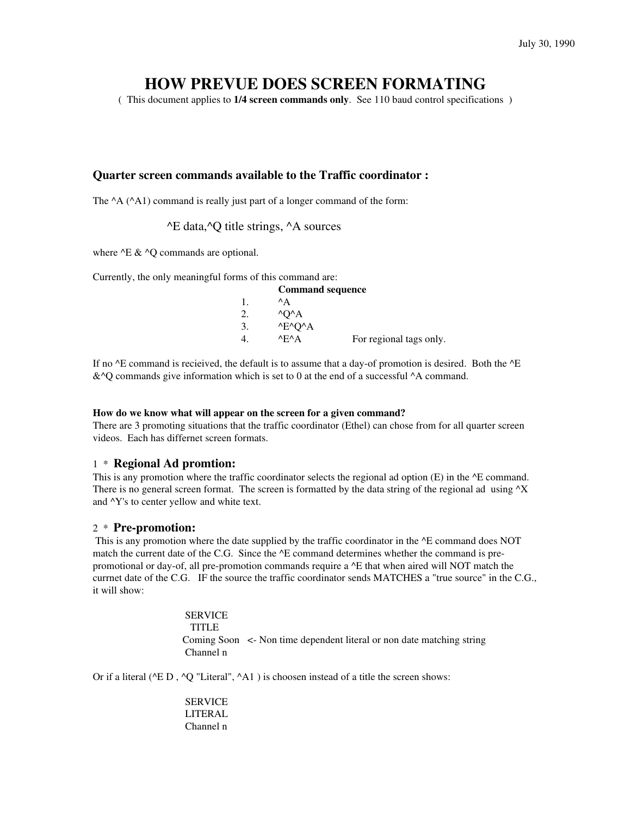# **HOW PREVUE DOES SCREEN FORMATING**

( This document applies to **1/4 screen commands only**. See 110 baud control specifications )

## **Quarter screen commands available to the Traffic coordinator :**

The  $^{\wedge}$ A ( $^{\wedge}$ A1) command is really just part of a longer command of the form:

^E data,^Q title strings, ^A sources

where  $\triangle E \& \triangle O$  commands are optional.

Currently, the only meaningful forms of this command are:

|                  | <b>Command sequence</b>          |                         |
|------------------|----------------------------------|-------------------------|
|                  | $^{\wedge}$ A                    |                         |
| 2.               | $\Lambda$ O $\Lambda$            |                         |
| 3                | $^{\wedge}E^{\wedge}O^{\wedge}A$ |                         |
| $\overline{4}$ . | $^{\wedge}$ F $^{\wedge}$ A      | For regional tags only. |

If no  $\Delta E$  command is recieived, the default is to assume that a day-of promotion is desired. Both the  $\Delta E$  $&$   $\Diamond$  commands give information which is set to 0 at the end of a successful  $\land$  a command.

#### **How do we know what will appear on the screen for a given command?**

There are 3 promoting situations that the traffic coordinator (Ethel) can chose from for all quarter screen videos. Each has differnet screen formats.

## 1 \* **Regional Ad promtion:**

This is any promotion where the traffic coordinator selects the regional ad option (E) in the  $^{\wedge}E$  command. There is no general screen format. The screen is formatted by the data string of the regional ad using  $^{\wedge}X$ and ^Y's to center yellow and white text.

#### 2 \* **Pre-promotion:**

This is any promotion where the date supplied by the traffic coordinator in the  $\Delta E$  command does NOT match the current date of the C.G. Since the ^E command determines whether the command is prepromotional or day-of, all pre-promotion commands require a ^E that when aired will NOT match the currnet date of the C.G. IF the source the traffic coordinator sends MATCHES a "true source" in the C.G., it will show:

> **SERVICE TITLE**  Coming Soon <- Non time dependent literal or non date matching string Channel n

Or if a literal ( $\triangle$  D,  $\triangle$ O "Literal",  $\triangle$ A1 ) is choosen instead of a title the screen shows:

**SERVICE**  LITERAL Channel n